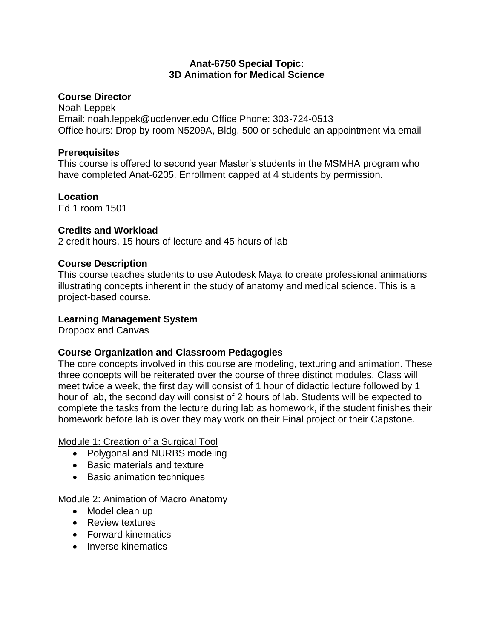#### **Anat-6750 Special Topic: 3D Animation for Medical Science**

## **Course Director**

Noah Leppek Email: noah.leppek@ucdenver.edu Office Phone: 303-724-0513 Office hours: Drop by room N5209A, Bldg. 500 or schedule an appointment via email

#### **Prerequisites**

This course is offered to second year Master's students in the MSMHA program who have completed Anat-6205. Enrollment capped at 4 students by permission.

**Location** Ed 1 room 1501

## **Credits and Workload**

2 credit hours. 15 hours of lecture and 45 hours of lab

## **Course Description**

This course teaches students to use Autodesk Maya to create professional animations illustrating concepts inherent in the study of anatomy and medical science. This is a project-based course.

#### **Learning Management System**

Dropbox and Canvas

# **Course Organization and Classroom Pedagogies**

The core concepts involved in this course are modeling, texturing and animation. These three concepts will be reiterated over the course of three distinct modules. Class will meet twice a week, the first day will consist of 1 hour of didactic lecture followed by 1 hour of lab, the second day will consist of 2 hours of lab. Students will be expected to complete the tasks from the lecture during lab as homework, if the student finishes their homework before lab is over they may work on their Final project or their Capstone.

# Module 1: Creation of a Surgical Tool

- Polygonal and NURBS modeling
- Basic materials and texture
- Basic animation techniques

#### Module 2: Animation of Macro Anatomy

- Model clean up
- Review textures
- Forward kinematics
- Inverse kinematics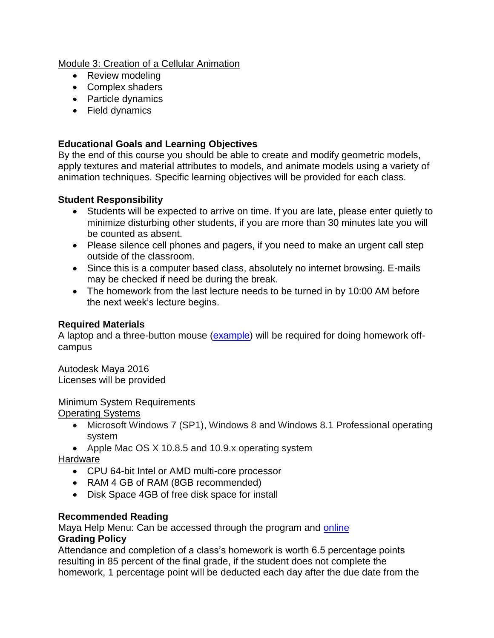Module 3: Creation of a Cellular Animation

- Review modeling
- Complex shaders
- Particle dynamics
- Field dynamics

# **Educational Goals and Learning Objectives**

By the end of this course you should be able to create and modify geometric models, apply textures and material attributes to models, and animate models using a variety of animation techniques. Specific learning objectives will be provided for each class.

## **Student Responsibility**

- Students will be expected to arrive on time. If you are late, please enter quietly to minimize disturbing other students, if you are more than 30 minutes late you will be counted as absent.
- Please silence cell phones and pagers, if you need to make an urgent call step outside of the classroom.
- Since this is a computer based class, absolutely no internet browsing. E-mails may be checked if need be during the break.
- The homework from the last lecture needs to be turned in by 10:00 AM before the next week's lecture begins.

## **Required Materials**

A laptop and a three-button mouse [\(example\)](http://accessories.us.dell.com/sna/productdetail.aspx?c=us&l=en&orig_s=corp&sku=330-9456&s=bsd) will be required for doing homework offcampus

Autodesk Maya 2016 Licenses will be provided

# Minimum System Requirements

Operating Systems

- Microsoft Windows 7 (SP1), Windows 8 and Windows 8.1 Professional operating system
- Apple Mac OS X 10.8.5 and 10.9.x operating system

Hardware

- CPU 64-bit Intel or AMD multi-core processor
- RAM 4 GB of RAM (8GB recommended)
- Disk Space 4GB of free disk space for install

# **Recommended Reading**

Maya Help Menu: Can be accessed through the program and [online](https://knowledge.autodesk.com/support/maya/getting-started/caas/CloudHelp/cloudhelp/ENU/123112/files/maya-documentation-html.html)

#### **Grading Policy**

Attendance and completion of a class's homework is worth 6.5 percentage points resulting in 85 percent of the final grade, if the student does not complete the homework, 1 percentage point will be deducted each day after the due date from the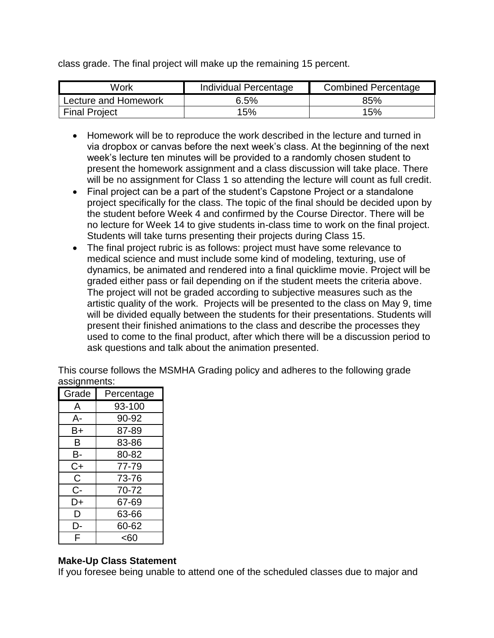class grade. The final project will make up the remaining 15 percent.

| Work                 | Individual Percentage | <b>Combined Percentage</b> |
|----------------------|-----------------------|----------------------------|
| Lecture and Homework | 6.5%                  | 85%                        |
| <b>Final Project</b> | 15%                   | 15%                        |

- Homework will be to reproduce the work described in the lecture and turned in via dropbox or canvas before the next week's class. At the beginning of the next week's lecture ten minutes will be provided to a randomly chosen student to present the homework assignment and a class discussion will take place. There will be no assignment for Class 1 so attending the lecture will count as full credit.
- Final project can be a part of the student's Capstone Project or a standalone project specifically for the class. The topic of the final should be decided upon by the student before Week 4 and confirmed by the Course Director. There will be no lecture for Week 14 to give students in-class time to work on the final project. Students will take turns presenting their projects during Class 15.
- The final project rubric is as follows: project must have some relevance to medical science and must include some kind of modeling, texturing, use of dynamics, be animated and rendered into a final quicklime movie. Project will be graded either pass or fail depending on if the student meets the criteria above. The project will not be graded according to subjective measures such as the artistic quality of the work. Projects will be presented to the class on May 9, time will be divided equally between the students for their presentations. Students will present their finished animations to the class and describe the processes they used to come to the final product, after which there will be a discussion period to ask questions and talk about the animation presented.

This course follows the MSMHA Grading policy and adheres to the following grade assignments:

| Grade | Percentage |
|-------|------------|
| A     | 93-100     |
| А-    | 90-92      |
| B+    | 87-89      |
| в     | 83-86      |
| В-    | 80-82      |
| C+    | 77-79      |
| C.    | 73-76      |
| $C -$ | 70-72      |
| D+    | 67-69      |
| D     | 63-66      |
| D-    | 60-62      |
| F     | <60        |

#### **Make-Up Class Statement**

If you foresee being unable to attend one of the scheduled classes due to major and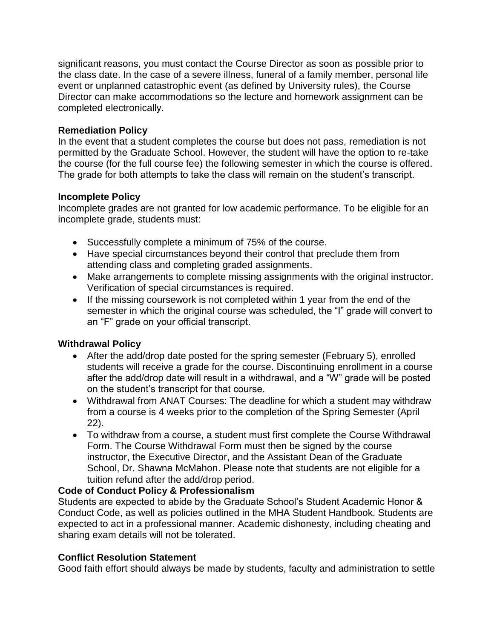significant reasons, you must contact the Course Director as soon as possible prior to the class date. In the case of a severe illness, funeral of a family member, personal life event or unplanned catastrophic event (as defined by University rules), the Course Director can make accommodations so the lecture and homework assignment can be completed electronically.

## **Remediation Policy**

In the event that a student completes the course but does not pass, remediation is not permitted by the Graduate School. However, the student will have the option to re-take the course (for the full course fee) the following semester in which the course is offered. The grade for both attempts to take the class will remain on the student's transcript.

## **Incomplete Policy**

Incomplete grades are not granted for low academic performance. To be eligible for an incomplete grade, students must:

- Successfully complete a minimum of 75% of the course.
- Have special circumstances beyond their control that preclude them from attending class and completing graded assignments.
- Make arrangements to complete missing assignments with the original instructor. Verification of special circumstances is required.
- If the missing coursework is not completed within 1 year from the end of the semester in which the original course was scheduled, the "I" grade will convert to an "F" grade on your official transcript.

# **Withdrawal Policy**

- After the add/drop date posted for the spring semester (February 5), enrolled students will receive a grade for the course. Discontinuing enrollment in a course after the add/drop date will result in a withdrawal, and a "W" grade will be posted on the student's transcript for that course.
- Withdrawal from ANAT Courses: The deadline for which a student may withdraw from a course is 4 weeks prior to the completion of the Spring Semester (April 22).
- To withdraw from a course, a student must first complete the Course Withdrawal Form. The Course Withdrawal Form must then be signed by the course instructor, the Executive Director, and the Assistant Dean of the Graduate School, Dr. Shawna McMahon. Please note that students are not eligible for a tuition refund after the add/drop period.

#### **Code of Conduct Policy & Professionalism**

Students are expected to abide by the Graduate School's Student Academic Honor & Conduct Code, as well as policies outlined in the MHA Student Handbook. Students are expected to act in a professional manner. Academic dishonesty, including cheating and sharing exam details will not be tolerated.

# **Conflict Resolution Statement**

Good faith effort should always be made by students, faculty and administration to settle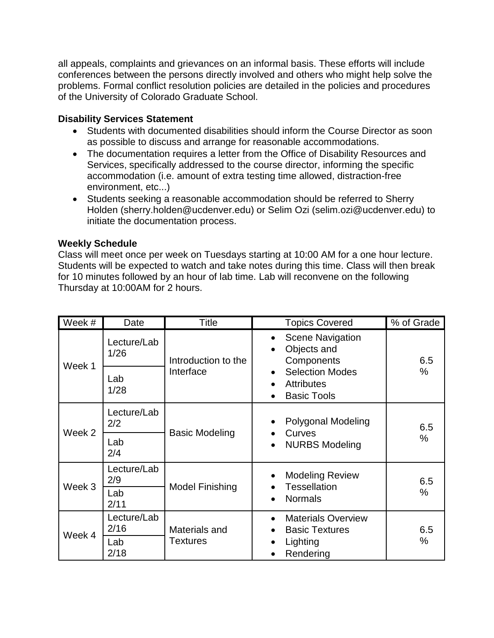all appeals, complaints and grievances on an informal basis. These efforts will include conferences between the persons directly involved and others who might help solve the problems. Formal conflict resolution policies are detailed in the policies and procedures of the University of Colorado Graduate School.

## **Disability Services Statement**

- Students with documented disabilities should inform the Course Director as soon as possible to discuss and arrange for reasonable accommodations.
- The documentation requires a letter from the Office of Disability Resources and Services, specifically addressed to the course director, informing the specific accommodation (i.e. amount of extra testing time allowed, distraction-free environment, etc...)
- Students seeking a reasonable accommodation should be referred to Sherry Holden (sherry.holden@ucdenver.edu) or Selim Ozi (selim.ozi@ucdenver.edu) to initiate the documentation process.

## **Weekly Schedule**

Class will meet once per week on Tuesdays starting at 10:00 AM for a one hour lecture. Students will be expected to watch and take notes during this time. Class will then break for 10 minutes followed by an hour of lab time. Lab will reconvene on the following Thursday at 10:00AM for 2 hours.

| Week # | Date                | Title                            | <b>Topics Covered</b>                                                                                    | % of Grade |
|--------|---------------------|----------------------------------|----------------------------------------------------------------------------------------------------------|------------|
| Week 1 | Lecture/Lab<br>1/26 | Introduction to the<br>Interface | <b>Scene Navigation</b><br>$\bullet$<br>Objects and<br>$\bullet$<br>Components                           | 6.5        |
|        | Lab<br>1/28         |                                  | <b>Selection Modes</b><br>$\bullet$<br><b>Attributes</b><br>$\bullet$<br><b>Basic Tools</b><br>$\bullet$ | $\%$       |
| Week 2 | Lecture/Lab<br>2/2  | <b>Basic Modeling</b>            | Polygonal Modeling<br>$\bullet$<br>Curves                                                                | 6.5        |
|        | Lab<br>2/4          |                                  | $\bullet$<br><b>NURBS Modeling</b><br>$\bullet$                                                          | $\%$       |
| Week 3 | Lecture/Lab<br>2/9  | <b>Model Finishing</b>           | <b>Modeling Review</b><br>$\bullet$<br>Tessellation<br>$\bullet$                                         | 6.5        |
|        | Lab<br>2/11         |                                  | <b>Normals</b><br>$\bullet$                                                                              | %          |
| Week 4 | Lecture/Lab<br>2/16 | Materials and<br><b>Textures</b> | <b>Materials Overview</b><br>$\bullet$<br><b>Basic Textures</b><br>$\bullet$                             | 6.5        |
|        | Lab<br>2/18         |                                  | Lighting<br>$\bullet$<br>Rendering<br>$\bullet$                                                          | $\%$       |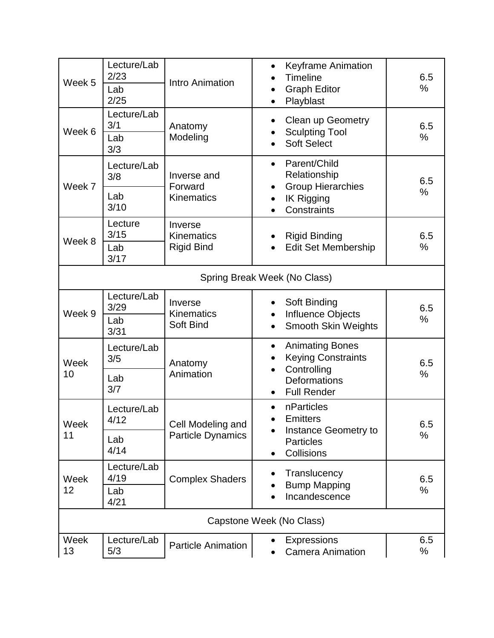| Week 5                   | Lecture/Lab<br>2/23<br>Lab<br>2/25 | Intro Animation                                   | <b>Keyframe Animation</b><br>$\bullet$<br>Timeline<br><b>Graph Editor</b><br>Playblast                    | 6.5<br>$\%$ |
|--------------------------|------------------------------------|---------------------------------------------------|-----------------------------------------------------------------------------------------------------------|-------------|
| Week 6                   | Lecture/Lab<br>3/1<br>Lab<br>3/3   | Anatomy<br>Modeling                               | <b>Clean up Geometry</b><br>$\bullet$<br><b>Sculpting Tool</b><br><b>Soft Select</b>                      | 6.5<br>$\%$ |
| Week 7                   | Lecture/Lab<br>3/8<br>Lab          | Inverse and<br>Forward                            | Parent/Child<br>$\bullet$<br>Relationship<br><b>Group Hierarchies</b><br>$\bullet$                        | 6.5<br>$\%$ |
|                          | 3/10                               | Kinematics                                        | <b>IK Rigging</b><br>$\bullet$<br>Constraints                                                             |             |
| Week 8                   | Lecture<br>3/15<br>Lab             | Inverse<br><b>Kinematics</b><br><b>Rigid Bind</b> | <b>Rigid Binding</b><br><b>Edit Set Membership</b>                                                        | 6.5<br>$\%$ |
|                          | 3/17                               |                                                   |                                                                                                           |             |
|                          |                                    |                                                   | Spring Break Week (No Class)                                                                              |             |
| Week 9                   | Lecture/Lab<br>3/29                | Inverse<br>Kinematics<br>Soft Bind                | Soft Binding<br>$\bullet$<br>Influence Objects                                                            | 6.5<br>$\%$ |
|                          | Lab<br>3/31                        |                                                   | <b>Smooth Skin Weights</b><br>$\bullet$                                                                   |             |
| Week<br>10               | Lecture/Lab<br>3/5                 | Anatomy                                           | <b>Animating Bones</b><br>$\bullet$<br><b>Keying Constraints</b><br>$\bullet$<br>Controlling<br>$\bullet$ | 6.5         |
|                          | Lab<br>3/7                         | Animation                                         | Deformations<br><b>Full Render</b><br>$\bullet$                                                           | $\%$        |
| Week<br>11               | Lecture/Lab<br>4/12                | Cell Modeling and<br><b>Particle Dynamics</b>     | nParticles<br>$\bullet$<br><b>Emitters</b>                                                                | 6.5         |
|                          | Lab<br>4/14                        |                                                   | Instance Geometry to<br><b>Particles</b><br>Collisions                                                    | $\%$        |
| Week<br>12               | Lecture/Lab<br>4/19                | <b>Complex Shaders</b>                            | Translucency<br>$\bullet$<br><b>Bump Mapping</b>                                                          | 6.5         |
|                          | Lab<br>4/21                        |                                                   | Incandescence                                                                                             | $\%$        |
| Capstone Week (No Class) |                                    |                                                   |                                                                                                           |             |
| Week<br>13               | Lecture/Lab<br>5/3                 | <b>Particle Animation</b>                         | <b>Expressions</b><br><b>Camera Animation</b>                                                             | 6.5<br>%    |